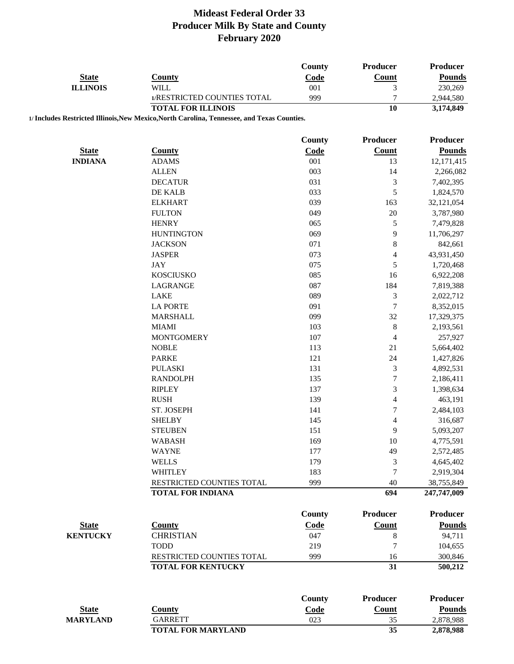| <b>State</b>    | <b>County</b>                                                                               | <b>County</b><br>Code | Producer<br>Count        | Producer<br><b>Pounds</b> |
|-----------------|---------------------------------------------------------------------------------------------|-----------------------|--------------------------|---------------------------|
| <b>ILLINOIS</b> | <b>WILL</b>                                                                                 | 001                   | 3                        | 230,269                   |
|                 | 1/RESTRICTED COUNTIES TOTAL                                                                 | 999                   | $\overline{7}$           | 2,944,580                 |
|                 | <b>TOTAL FOR ILLINOIS</b>                                                                   |                       | 10                       | 3,174,849                 |
|                 | 1/ Includes Restricted Illinois, New Mexico, North Carolina, Tennessee, and Texas Counties. |                       |                          |                           |
|                 |                                                                                             |                       |                          |                           |
|                 |                                                                                             | <b>County</b>         | <b>Producer</b>          | Producer                  |
| <b>State</b>    | <b>County</b>                                                                               | Code                  | Count                    | <b>Pounds</b>             |
| <b>INDIANA</b>  | <b>ADAMS</b>                                                                                | 001                   | 13                       | 12,171,415                |
|                 | <b>ALLEN</b>                                                                                | 003                   | 14                       | 2,266,082                 |
|                 | <b>DECATUR</b>                                                                              | 031                   | $\mathfrak{Z}$           | 7,402,395                 |
|                 | DE KALB                                                                                     | 033                   | $\sqrt{5}$               | 1,824,570                 |
|                 | <b>ELKHART</b>                                                                              | 039                   | 163                      | 32,121,054                |
|                 | <b>FULTON</b>                                                                               | 049                   | 20                       | 3,787,980                 |
|                 | <b>HENRY</b>                                                                                | 065                   | $\mathfrak s$            | 7,479,828                 |
|                 | <b>HUNTINGTON</b>                                                                           | 069                   | 9                        | 11,706,297                |
|                 | <b>JACKSON</b>                                                                              | 071                   | $\,8$                    | 842,661                   |
|                 | <b>JASPER</b>                                                                               | 073                   | $\overline{4}$           | 43,931,450                |
|                 | <b>JAY</b>                                                                                  | 075                   | $\sqrt{5}$               | 1,720,468                 |
|                 | <b>KOSCIUSKO</b>                                                                            | 085                   | 16                       | 6,922,208                 |
|                 | LAGRANGE                                                                                    | 087                   | 184                      | 7,819,388                 |
|                 | <b>LAKE</b>                                                                                 | 089                   | $\mathfrak{Z}$           | 2,022,712                 |
|                 | <b>LA PORTE</b>                                                                             | 091                   | $\tau$                   | 8,352,015                 |
|                 | <b>MARSHALL</b>                                                                             | 099                   | 32                       | 17,329,375                |
|                 | <b>MIAMI</b>                                                                                | 103                   | $\,8\,$                  | 2,193,561                 |
|                 | <b>MONTGOMERY</b>                                                                           | 107                   | $\overline{\mathcal{A}}$ | 257,927                   |
|                 | <b>NOBLE</b>                                                                                | 113                   | 21                       | 5,664,402                 |
|                 | <b>PARKE</b>                                                                                | 121                   | 24                       | 1,427,826                 |
|                 | <b>PULASKI</b>                                                                              | 131                   | $\mathfrak 3$            | 4,892,531                 |
|                 | <b>RANDOLPH</b>                                                                             | 135                   | $\boldsymbol{7}$         | 2,186,411                 |
|                 | <b>RIPLEY</b>                                                                               | 137                   | 3                        | 1,398,634                 |
|                 | <b>RUSH</b>                                                                                 | 139                   | $\overline{\mathcal{L}}$ | 463,191                   |
|                 | ST. JOSEPH                                                                                  | 141                   | $\sqrt{ }$               | 2,484,103                 |
|                 | <b>SHELBY</b>                                                                               | 145                   | $\overline{\mathcal{L}}$ | 316,687                   |
|                 | <b>STEUBEN</b>                                                                              | 151                   | 9                        | 5,093,207                 |
|                 | <b>WABASH</b>                                                                               | 169                   | 10                       | 4,775,591                 |
|                 | <b>WAYNE</b>                                                                                | 177                   | 49                       | 2,572,485                 |
|                 | <b>WELLS</b>                                                                                | 179                   | 3                        | 4,645,402                 |
|                 | <b>WHITLEY</b>                                                                              | 183                   | 7                        | 2,919,304                 |
|                 | RESTRICTED COUNTIES TOTAL                                                                   | 999                   | 40                       | 38,755,849                |
|                 | <b>TOTAL FOR INDIANA</b>                                                                    |                       | 694                      | 247,747,009               |
|                 |                                                                                             |                       |                          |                           |
|                 |                                                                                             | <b>County</b>         | <b>Producer</b>          | <b>Producer</b>           |
| <b>State</b>    | <b>County</b>                                                                               | Code                  | Count                    | <b>Pounds</b>             |
| <b>KENTUCKY</b> | <b>CHRISTIAN</b>                                                                            | 047                   | $\,8\,$                  | 94,711                    |
|                 | <b>TODD</b>                                                                                 | 219                   | $\overline{7}$           | 104,655                   |
|                 | RESTRICTED COUNTIES TOTAL                                                                   | 999                   | 16                       | 300,846                   |
|                 | <b>TOTAL FOR KENTUCKY</b>                                                                   |                       | 31                       | 500,212                   |
|                 |                                                                                             |                       |                          |                           |
|                 |                                                                                             | <b>County</b>         | <b>Producer</b>          | <b>Producer</b>           |
| <b>State</b>    | <b>County</b>                                                                               | Code                  | Count                    | <b>Pounds</b>             |
| <b>MARYLAND</b> | <b>GARRETT</b>                                                                              | 023                   | 35                       | 2,878,988                 |
|                 | <b>TOTAL FOR MARYLAND</b>                                                                   |                       | 35                       | 2,878,988                 |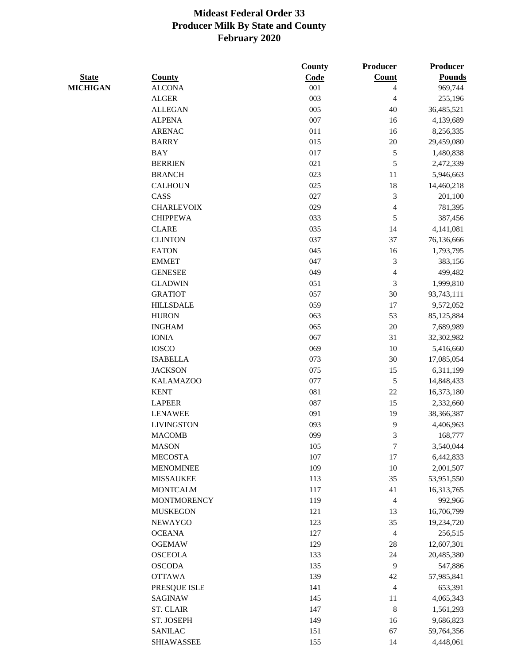|                 |                    | County | Producer                 | <b>Producer</b> |
|-----------------|--------------------|--------|--------------------------|-----------------|
| <b>State</b>    | <b>County</b>      | Code   | Count                    | <b>Pounds</b>   |
| <b>MICHIGAN</b> | <b>ALCONA</b>      | 001    | 4                        | 969,744         |
|                 | <b>ALGER</b>       | 003    | $\overline{4}$           | 255,196         |
|                 | <b>ALLEGAN</b>     | 005    | 40                       | 36,485,521      |
|                 | <b>ALPENA</b>      | 007    | 16                       | 4,139,689       |
|                 | <b>ARENAC</b>      | 011    | 16                       | 8,256,335       |
|                 | <b>BARRY</b>       | 015    | $20\,$                   | 29,459,080      |
|                 | <b>BAY</b>         | 017    | $\sqrt{5}$               | 1,480,838       |
|                 | <b>BERRIEN</b>     | 021    | 5                        | 2,472,339       |
|                 | <b>BRANCH</b>      | 023    | 11                       | 5,946,663       |
|                 | <b>CALHOUN</b>     | 025    | 18                       | 14,460,218      |
|                 | CASS               | 027    | 3                        | 201,100         |
|                 | <b>CHARLEVOIX</b>  | 029    | $\overline{\mathcal{L}}$ | 781,395         |
|                 | <b>CHIPPEWA</b>    | 033    | $\mathfrak s$            | 387,456         |
|                 | <b>CLARE</b>       | 035    | 14                       | 4,141,081       |
|                 | <b>CLINTON</b>     | 037    | 37                       | 76,136,666      |
|                 | <b>EATON</b>       | 045    | 16                       | 1,793,795       |
|                 | <b>EMMET</b>       | 047    | 3                        | 383,156         |
|                 | <b>GENESEE</b>     | 049    | $\overline{\mathcal{L}}$ | 499,482         |
|                 | <b>GLADWIN</b>     | 051    | $\mathfrak{Z}$           | 1,999,810       |
|                 | <b>GRATIOT</b>     | 057    | 30                       | 93,743,111      |
|                 | <b>HILLSDALE</b>   | 059    | 17                       | 9,572,052       |
|                 | <b>HURON</b>       | 063    | 53                       | 85,125,884      |
|                 | <b>INGHAM</b>      | 065    | 20                       | 7,689,989       |
|                 | <b>IONIA</b>       | 067    | 31                       | 32,302,982      |
|                 | <b>IOSCO</b>       | 069    | 10                       | 5,416,660       |
|                 | <b>ISABELLA</b>    | 073    | 30                       | 17,085,054      |
|                 | <b>JACKSON</b>     | 075    | 15                       | 6,311,199       |
|                 | <b>KALAMAZOO</b>   | 077    | $\sqrt{5}$               | 14,848,433      |
|                 | <b>KENT</b>        | 081    | $22\,$                   | 16,373,180      |
|                 | <b>LAPEER</b>      | 087    | 15                       | 2,332,660       |
|                 | <b>LENAWEE</b>     | 091    | 19                       | 38,366,387      |
|                 | <b>LIVINGSTON</b>  | 093    | 9                        | 4,406,963       |
|                 | <b>MACOMB</b>      | 099    | 3                        | 168,777         |
|                 | <b>MASON</b>       | 105    | $\tau$                   | 3,540,044       |
|                 | <b>MECOSTA</b>     | 107    | 17                       | 6,442,833       |
|                 | <b>MENOMINEE</b>   | 109    | 10                       | 2,001,507       |
|                 | <b>MISSAUKEE</b>   | 113    | 35                       | 53,951,550      |
|                 | <b>MONTCALM</b>    | 117    | 41                       | 16,313,765      |
|                 | <b>MONTMORENCY</b> | 119    | $\overline{4}$           | 992,966         |
|                 | <b>MUSKEGON</b>    | 121    | 13                       | 16,706,799      |
|                 | <b>NEWAYGO</b>     | 123    | 35                       | 19,234,720      |
|                 | <b>OCEANA</b>      | 127    | $\overline{4}$           | 256,515         |
|                 | <b>OGEMAW</b>      | 129    | 28                       | 12,607,301      |
|                 | <b>OSCEOLA</b>     | 133    | 24                       | 20,485,380      |
|                 | <b>OSCODA</b>      | 135    | $\overline{9}$           | 547,886         |
|                 | <b>OTTAWA</b>      | 139    | $42\,$                   | 57,985,841      |
|                 | PRESQUE ISLE       | 141    | $\overline{4}$           | 653,391         |
|                 | <b>SAGINAW</b>     | 145    | 11                       | 4,065,343       |
|                 | <b>ST. CLAIR</b>   | 147    | $\,8\,$                  | 1,561,293       |
|                 | ST. JOSEPH         | 149    | 16                       | 9,686,823       |
|                 | <b>SANILAC</b>     | 151    | 67                       | 59,764,356      |
|                 | <b>SHIAWASSEE</b>  | 155    | 14                       | 4,448,061       |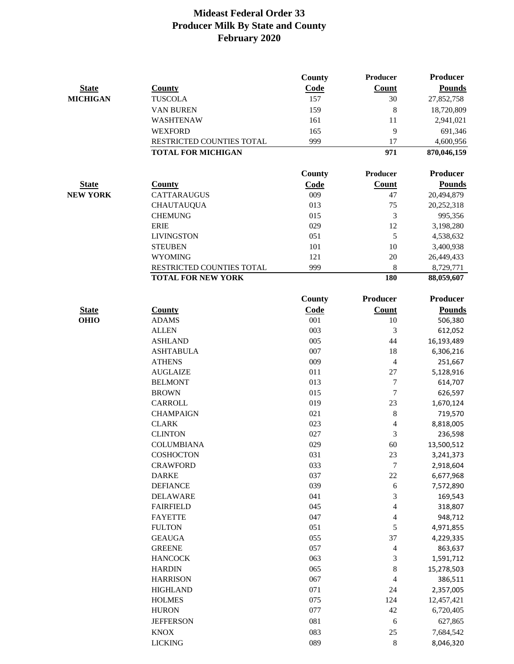|                 |                           | County | Producer       | <b>Producer</b> |
|-----------------|---------------------------|--------|----------------|-----------------|
| <b>State</b>    | <b>County</b>             | Code   | <b>Count</b>   | <b>Pounds</b>   |
| <b>MICHIGAN</b> | <b>TUSCOLA</b>            | 157    | 30             | 27,852,758      |
|                 | <b>VAN BUREN</b>          | 159    | 8              | 18,720,809      |
|                 | WASHTENAW                 | 161    | 11             | 2,941,021       |
|                 | <b>WEXFORD</b>            | 165    | 9              | 691,346         |
|                 | RESTRICTED COUNTIES TOTAL | 999    | 17             | 4,600,956       |
|                 | <b>TOTAL FOR MICHIGAN</b> |        | 971            | 870,046,159     |
|                 |                           |        |                |                 |
|                 |                           | County | Producer       | <b>Producer</b> |
| <b>State</b>    | <b>County</b>             | Code   | Count          | <b>Pounds</b>   |
| <b>NEW YORK</b> | <b>CATTARAUGUS</b>        | 009    | 47             | 20,494,879      |
|                 | <b>CHAUTAUQUA</b>         | 013    | 75             | 20,252,318      |
|                 | <b>CHEMUNG</b>            | 015    | 3              | 995,356         |
|                 | <b>ERIE</b>               | 029    | 12             | 3,198,280       |
|                 | <b>LIVINGSTON</b>         | 051    | 5              | 4,538,632       |
|                 | <b>STEUBEN</b>            | 101    | 10             | 3,400,938       |
|                 | <b>WYOMING</b>            | 121    | 20             | 26,449,433      |
|                 | RESTRICTED COUNTIES TOTAL | 999    | 8              | 8,729,771       |
|                 | <b>TOTAL FOR NEW YORK</b> |        | 180            | 88,059,607      |
|                 |                           | County | Producer       | <b>Producer</b> |
| <b>State</b>    | <b>County</b>             | Code   | <b>Count</b>   | <b>Pounds</b>   |
| <b>OHIO</b>     | <b>ADAMS</b>              | 001    | 10             | 506,380         |
|                 | <b>ALLEN</b>              | 003    | 3              | 612,052         |
|                 | <b>ASHLAND</b>            | 005    | 44             | 16,193,489      |
|                 | <b>ASHTABULA</b>          | 007    | 18             | 6,306,216       |
|                 | <b>ATHENS</b>             | 009    | $\overline{4}$ | 251,667         |
|                 | <b>AUGLAIZE</b>           | 011    | $27\,$         | 5,128,916       |
|                 | <b>BELMONT</b>            | 013    | 7              | 614,707         |
|                 | <b>BROWN</b>              | 015    | 7              | 626,597         |
|                 | CARROLL                   | 019    | 23             | 1,670,124       |
|                 | <b>CHAMPAIGN</b>          | 021    | 8              | 719,570         |
|                 | <b>CLARK</b>              | 023    | 4              | 8,818,005       |
|                 | <b>CLINTON</b>            | 027    | 3              | 236,598         |
|                 | <b>COLUMBIANA</b>         | 029    | 60             | 13,500,512      |
|                 | COSHOCTON                 | 031    | 23             | 3,241,373       |
|                 | <b>CRAWFORD</b>           | 033    | 7              | 2,918,604       |
|                 | <b>DARKE</b>              | 037    | 22             | 6,677,968       |
|                 | <b>DEFIANCE</b>           | 039    | $\sqrt{6}$     | 7,572,890       |
|                 | <b>DELAWARE</b>           | 041    | 3              | 169,543         |
|                 | <b>FAIRFIELD</b>          | 045    | 4              | 318,807         |
|                 | <b>FAYETTE</b>            | 047    | 4              | 948,712         |
|                 | <b>FULTON</b>             | 051    | 5              | 4,971,855       |
|                 | <b>GEAUGA</b>             | 055    | 37             | 4,229,335       |
|                 | <b>GREENE</b>             | 057    | 4              | 863,637         |
|                 | <b>HANCOCK</b>            | 063    | 3              | 1,591,712       |
|                 | <b>HARDIN</b>             | 065    | 8              | 15,278,503      |
|                 | <b>HARRISON</b>           | 067    | 4              | 386,511         |
|                 | <b>HIGHLAND</b>           | 071    | 24             | 2,357,005       |
|                 | <b>HOLMES</b>             | 075    | 124            | 12,457,421      |
|                 | <b>HURON</b>              | 077    | 42             | 6,720,405       |
|                 | <b>JEFFERSON</b>          | 081    | 6              | 627,865         |
|                 | <b>KNOX</b>               | 083    | 25             | 7,684,542       |
|                 | <b>LICKING</b>            | 089    | 8              | 8,046,320       |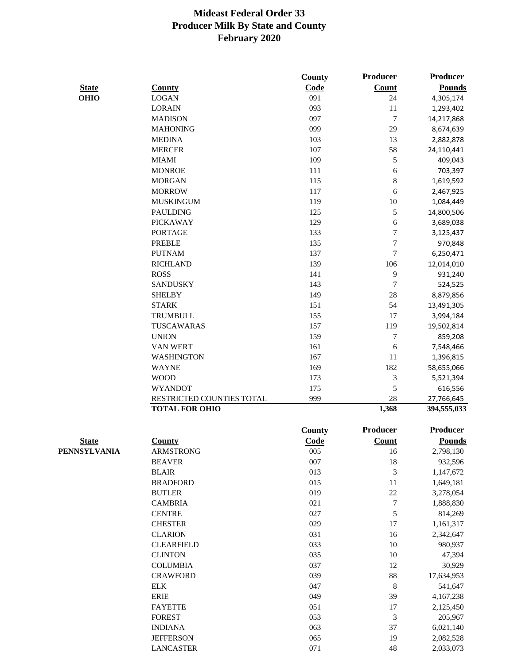|              |                           | <b>County</b> | <b>Producer</b>             | <b>Producer</b> |
|--------------|---------------------------|---------------|-----------------------------|-----------------|
| <b>State</b> | <b>County</b>             | Code          | Count                       | <b>Pounds</b>   |
| <b>OHIO</b>  | <b>LOGAN</b>              | 091           | 24                          | 4,305,174       |
|              | <b>LORAIN</b>             | 093           | 11                          | 1,293,402       |
|              | <b>MADISON</b>            | 097           | $\boldsymbol{7}$            | 14,217,868      |
|              | <b>MAHONING</b>           | 099           | 29                          | 8,674,639       |
|              | <b>MEDINA</b>             | 103           | 13                          | 2,882,878       |
|              | <b>MERCER</b>             | 107           | 58                          | 24,110,441      |
|              | <b>MIAMI</b>              | 109           | 5                           | 409,043         |
|              | <b>MONROE</b>             | 111           | 6                           | 703,397         |
|              | <b>MORGAN</b>             | 115           | $\,8\,$                     | 1,619,592       |
|              | <b>MORROW</b>             | 117           | 6                           | 2,467,925       |
|              | <b>MUSKINGUM</b>          | 119           | 10                          | 1,084,449       |
|              | <b>PAULDING</b>           | 125           | 5                           | 14,800,506      |
|              | <b>PICKAWAY</b>           | 129           | 6                           | 3,689,038       |
|              | <b>PORTAGE</b>            | 133           | $\tau$                      | 3,125,437       |
|              | <b>PREBLE</b>             | 135           | $\overline{7}$              | 970,848         |
|              | <b>PUTNAM</b>             | 137           | $\tau$                      | 6,250,471       |
|              | <b>RICHLAND</b>           | 139           | 106                         | 12,014,010      |
|              | <b>ROSS</b>               | 141           | 9                           | 931,240         |
|              | <b>SANDUSKY</b>           | 143           | $\boldsymbol{7}$            | 524,525         |
|              | <b>SHELBY</b>             | 149           | 28                          | 8,879,856       |
|              | <b>STARK</b>              | 151           | 54                          | 13,491,305      |
|              | TRUMBULL                  | 155           | 17                          | 3,994,184       |
|              | TUSCAWARAS                | 157           | 119                         | 19,502,814      |
|              | <b>UNION</b>              | 159           | $\tau$                      | 859,208         |
|              | VAN WERT                  | 161           | 6                           | 7,548,466       |
|              | <b>WASHINGTON</b>         | 167           | 11                          | 1,396,815       |
|              | <b>WAYNE</b>              | 169           | 182                         | 58,655,066      |
|              | <b>WOOD</b>               | 173           | 3                           | 5,521,394       |
|              | <b>WYANDOT</b>            | 175           | 5                           | 616,556         |
|              | RESTRICTED COUNTIES TOTAL | 999           | 28                          | 27,766,645      |
|              | <b>TOTAL FOR OHIO</b>     |               | 1,368                       | 394,555,033     |
|              |                           | <b>County</b> | Producer                    | <b>Producer</b> |
| <b>State</b> | <b>County</b>             | Code          | Count                       | <b>Pounds</b>   |
| PENNSYLVANIA | <b>ARMSTRONG</b>          | 005           | 16                          | 2,798,130       |
|              | <b>BEAVER</b>             | 007           | 18                          | 932,596         |
|              | <b>BLAIR</b>              | 013           | $\mathfrak{Z}$              | 1,147,672       |
|              | <b>BRADFORD</b>           | 015           | 11                          | 1,649,181       |
|              | <b>BUTLER</b>             | 019           | 22                          | 3,278,054       |
|              | <b>CAMBRIA</b>            | 021           | $\boldsymbol{7}$            | 1,888,830       |
|              | <b>CENTRE</b>             | 027           | $\sqrt{5}$                  | 814,269         |
|              | <b>CHESTER</b>            | 029           | 17                          | 1,161,317       |
|              | <b>CLARION</b>            | 031           | 16                          | 2,342,647       |
|              | <b>CLEARFIELD</b>         | 033           | 10                          | 980,937         |
|              | <b>CLINTON</b>            | 035           | 10                          | 47,394          |
|              | <b>COLUMBIA</b>           | 037           | 12                          | 30,929          |
|              | <b>CRAWFORD</b>           | 039           | 88                          | 17,634,953      |
|              | <b>ELK</b>                | 047           | $\,8\,$                     | 541,647         |
|              | <b>ERIE</b>               | 049           | 39                          | 4,167,238       |
|              | <b>FAYETTE</b>            | 051           | 17                          | 2,125,450       |
|              | <b>FOREST</b>             | 053           | $\ensuremath{\mathfrak{Z}}$ | 205,967         |
|              | <b>INDIANA</b>            | 063           | 37                          | 6,021,140       |
|              | <b>JEFFERSON</b>          | 065           | 19                          | 2,082,528       |
|              | <b>LANCASTER</b>          | 071           | $\sqrt{48}$                 | 2,033,073       |